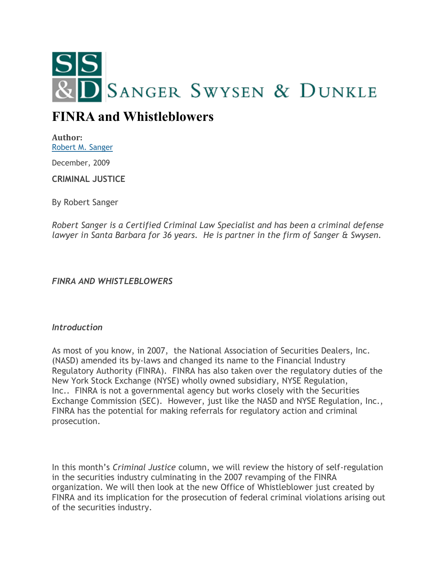

# **FINRA and Whistleblowers**

**Author:** [Robert M. Sanger](http://sangerswysen.com/robert-m-sanger)

December, 2009

**CRIMINAL JUSTICE**

By Robert Sanger

*Robert Sanger is a Certified Criminal Law Specialist and has been a criminal defense lawyer in Santa Barbara for 36 years. He is partner in the firm of Sanger & Swysen.*

*FINRA AND WHISTLEBLOWERS*

### *Introduction*

As most of you know, in 2007, the National Association of Securities Dealers, Inc. (NASD) amended its by-laws and changed its name to the Financial Industry Regulatory Authority (FINRA). FINRA has also taken over the regulatory duties of the New York Stock Exchange (NYSE) wholly owned subsidiary, NYSE Regulation, Inc.. FINRA is not a governmental agency but works closely with the Securities Exchange Commission (SEC). However, just like the NASD and NYSE Regulation, Inc., FINRA has the potential for making referrals for regulatory action and criminal prosecution.

In this month's *Criminal Justice* column, we will review the history of self-regulation in the securities industry culminating in the 2007 revamping of the FINRA organization. We will then look at the new Office of Whistleblower just created by FINRA and its implication for the prosecution of federal criminal violations arising out of the securities industry.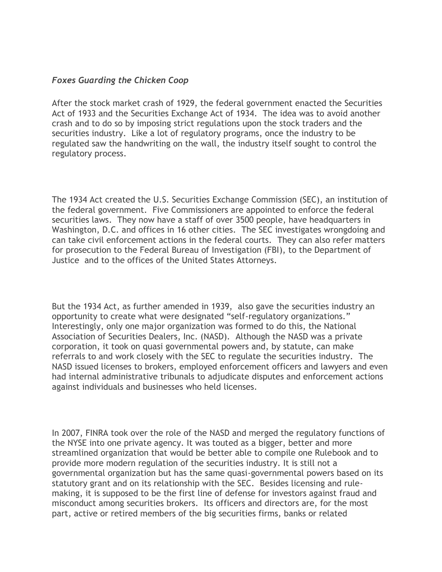## *Foxes Guarding the Chicken Coop*

After the stock market crash of 1929, the federal government enacted the Securities Act of 1933 and the Securities Exchange Act of 1934. The idea was to avoid another crash and to do so by imposing strict regulations upon the stock traders and the securities industry. Like a lot of regulatory programs, once the industry to be regulated saw the handwriting on the wall, the industry itself sought to control the regulatory process.

The 1934 Act created the U.S. Securities Exchange Commission (SEC), an institution of the federal government. Five Commissioners are appointed to enforce the federal securities laws. They now have a staff of over 3500 people, have headquarters in Washington, D.C. and offices in 16 other cities. The SEC investigates wrongdoing and can take civil enforcement actions in the federal courts. They can also refer matters for prosecution to the Federal Bureau of Investigation (FBI), to the Department of Justice and to the offices of the United States Attorneys.

But the 1934 Act, as further amended in 1939, also gave the securities industry an opportunity to create what were designated "self-regulatory organizations." Interestingly, only one major organization was formed to do this, the National Association of Securities Dealers, Inc. (NASD). Although the NASD was a private corporation, it took on quasi governmental powers and, by statute, can make referrals to and work closely with the SEC to regulate the securities industry. The NASD issued licenses to brokers, employed enforcement officers and lawyers and even had internal administrative tribunals to adjudicate disputes and enforcement actions against individuals and businesses who held licenses.

In 2007, FINRA took over the role of the NASD and merged the regulatory functions of the NYSE into one private agency. It was touted as a bigger, better and more streamlined organization that would be better able to compile one Rulebook and to provide more modern regulation of the securities industry. It is still not a governmental organization but has the same quasi-governmental powers based on its statutory grant and on its relationship with the SEC. Besides licensing and rulemaking, it is supposed to be the first line of defense for investors against fraud and misconduct among securities brokers. Its officers and directors are, for the most part, active or retired members of the big securities firms, banks or related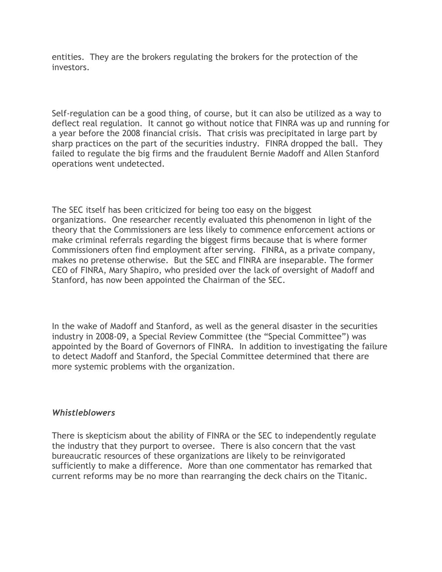entities. They are the brokers regulating the brokers for the protection of the investors.

Self-regulation can be a good thing, of course, but it can also be utilized as a way to deflect real regulation. It cannot go without notice that FINRA was up and running for a year before the 2008 financial crisis. That crisis was precipitated in large part by sharp practices on the part of the securities industry. FINRA dropped the ball. They failed to regulate the big firms and the fraudulent Bernie Madoff and Allen Stanford operations went undetected.

The SEC itself has been criticized for being too easy on the biggest organizations. One researcher recently evaluated this phenomenon in light of the theory that the Commissioners are less likely to commence enforcement actions or make criminal referrals regarding the biggest firms because that is where former Commissioners often find employment after serving. FINRA, as a private company, makes no pretense otherwise. But the SEC and FINRA are inseparable. The former CEO of FINRA, Mary Shapiro, who presided over the lack of oversight of Madoff and Stanford, has now been appointed the Chairman of the SEC.

In the wake of Madoff and Stanford, as well as the general disaster in the securities industry in 2008-09, a Special Review Committee (the "Special Committee") was appointed by the Board of Governors of FINRA. In addition to investigating the failure to detect Madoff and Stanford, the Special Committee determined that there are more systemic problems with the organization.

### *Whistleblowers*

There is skepticism about the ability of FINRA or the SEC to independently regulate the industry that they purport to oversee. There is also concern that the vast bureaucratic resources of these organizations are likely to be reinvigorated sufficiently to make a difference. More than one commentator has remarked that current reforms may be no more than rearranging the deck chairs on the Titanic.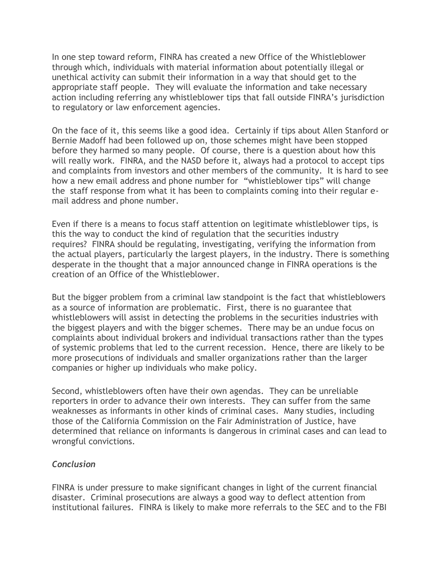In one step toward reform, FINRA has created a new Office of the Whistleblower through which, individuals with material information about potentially illegal or unethical activity can submit their information in a way that should get to the appropriate staff people. They will evaluate the information and take necessary action including referring any whistleblower tips that fall outside FINRA's jurisdiction to regulatory or law enforcement agencies.

On the face of it, this seems like a good idea. Certainly if tips about Allen Stanford or Bernie Madoff had been followed up on, those schemes might have been stopped before they harmed so many people. Of course, there is a question about how this will really work. FINRA, and the NASD before it, always had a protocol to accept tips and complaints from investors and other members of the community. It is hard to see how a new email address and phone number for "whistleblower tips" will change the staff response from what it has been to complaints coming into their regular email address and phone number.

Even if there is a means to focus staff attention on legitimate whistleblower tips, is this the way to conduct the kind of regulation that the securities industry requires? FINRA should be regulating, investigating, verifying the information from the actual players, particularly the largest players, in the industry. There is something desperate in the thought that a major announced change in FINRA operations is the creation of an Office of the Whistleblower.

But the bigger problem from a criminal law standpoint is the fact that whistleblowers as a source of information are problematic. First, there is no guarantee that whistleblowers will assist in detecting the problems in the securities industries with the biggest players and with the bigger schemes. There may be an undue focus on complaints about individual brokers and individual transactions rather than the types of systemic problems that led to the current recession. Hence, there are likely to be more prosecutions of individuals and smaller organizations rather than the larger companies or higher up individuals who make policy.

Second, whistleblowers often have their own agendas. They can be unreliable reporters in order to advance their own interests. They can suffer from the same weaknesses as informants in other kinds of criminal cases. Many studies, including those of the California Commission on the Fair Administration of Justice, have determined that reliance on informants is dangerous in criminal cases and can lead to wrongful convictions.

# *Conclusion*

FINRA is under pressure to make significant changes in light of the current financial disaster. Criminal prosecutions are always a good way to deflect attention from institutional failures. FINRA is likely to make more referrals to the SEC and to the FBI